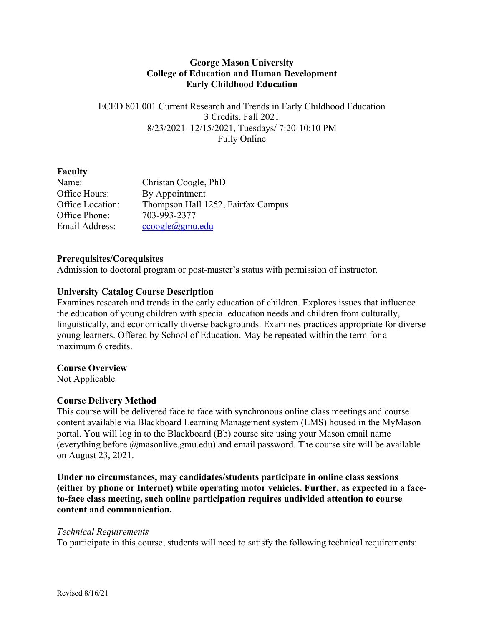### **George Mason University College of Education and Human Development Early Childhood Education**

ECED 801.001 Current Research and Trends in Early Childhood Education 3 Credits, Fall 2021 8/23/2021–12/15/2021, Tuesdays/ 7:20-10:10 PM Fully Online

### **Faculty**

| Name:            | Christan Coogle, PhD               |
|------------------|------------------------------------|
| Office Hours:    | By Appointment                     |
| Office Location: | Thompson Hall 1252, Fairfax Campus |
| Office Phone:    | 703-993-2377                       |
| Email Address:   | $ccogle(\omega gmu.edu)$           |

### **Prerequisites/Corequisites**

Admission to doctoral program or post-master's status with permission of instructor.

#### **University Catalog Course Description**

Examines research and trends in the early education of children. Explores issues that influence the education of young children with special education needs and children from culturally, linguistically, and economically diverse backgrounds. Examines practices appropriate for diverse young learners. Offered by School of Education. May be repeated within the term for a maximum 6 credits.

#### **Course Overview**

Not Applicable

#### **Course Delivery Method**

This course will be delivered face to face with synchronous online class meetings and course content available via Blackboard Learning Management system (LMS) housed in the MyMason portal. You will log in to the Blackboard (Bb) course site using your Mason email name (everything before @masonlive.gmu.edu) and email password. The course site will be available on August 23, 2021.

**Under no circumstances, may candidates/students participate in online class sessions (either by phone or Internet) while operating motor vehicles. Further, as expected in a faceto-face class meeting, such online participation requires undivided attention to course content and communication.**

#### *Technical Requirements*

To participate in this course, students will need to satisfy the following technical requirements: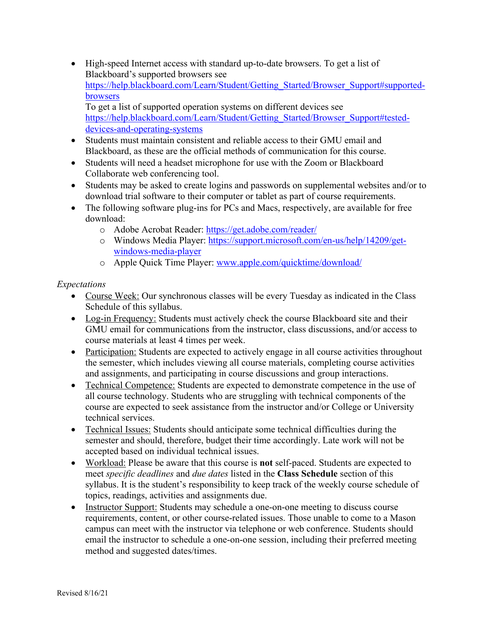• High-speed Internet access with standard up-to-date browsers. To get a list of Blackboard's supported browsers see https://help.blackboard.com/Learn/Student/Getting\_Started/Browser\_Support#supportedbrowsers

To get a list of supported operation systems on different devices see https://help.blackboard.com/Learn/Student/Getting\_Started/Browser\_Support#testeddevices-and-operating-systems

- Students must maintain consistent and reliable access to their GMU email and Blackboard, as these are the official methods of communication for this course.
- Students will need a headset microphone for use with the Zoom or Blackboard Collaborate web conferencing tool.
- Students may be asked to create logins and passwords on supplemental websites and/or to download trial software to their computer or tablet as part of course requirements.
- The following software plug-ins for PCs and Macs, respectively, are available for free download:
	- o Adobe Acrobat Reader: https://get.adobe.com/reader/
	- o Windows Media Player: https://support.microsoft.com/en-us/help/14209/getwindows-media-player
	- o Apple Quick Time Player: www.apple.com/quicktime/download/

# *Expectations*

- Course Week: Our synchronous classes will be every Tuesday as indicated in the Class Schedule of this syllabus.
- Log-in Frequency: Students must actively check the course Blackboard site and their GMU email for communications from the instructor, class discussions, and/or access to course materials at least 4 times per week.
- Participation: Students are expected to actively engage in all course activities throughout the semester, which includes viewing all course materials, completing course activities and assignments, and participating in course discussions and group interactions.
- Technical Competence: Students are expected to demonstrate competence in the use of all course technology. Students who are struggling with technical components of the course are expected to seek assistance from the instructor and/or College or University technical services.
- Technical Issues: Students should anticipate some technical difficulties during the semester and should, therefore, budget their time accordingly. Late work will not be accepted based on individual technical issues.
- Workload: Please be aware that this course is **not** self-paced. Students are expected to meet *specific deadlines* and *due dates* listed in the **Class Schedule** section of this syllabus. It is the student's responsibility to keep track of the weekly course schedule of topics, readings, activities and assignments due.
- Instructor Support: Students may schedule a one-on-one meeting to discuss course requirements, content, or other course-related issues. Those unable to come to a Mason campus can meet with the instructor via telephone or web conference. Students should email the instructor to schedule a one-on-one session, including their preferred meeting method and suggested dates/times.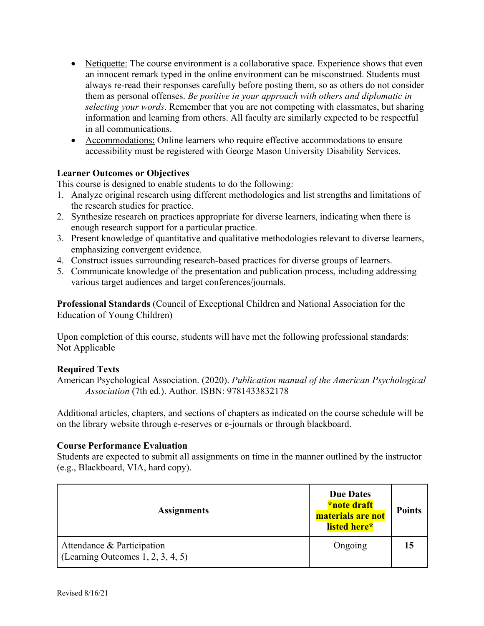- Netiquette: The course environment is a collaborative space. Experience shows that even an innocent remark typed in the online environment can be misconstrued. Students must always re-read their responses carefully before posting them, so as others do not consider them as personal offenses. *Be positive in your approach with others and diplomatic in selecting your words*. Remember that you are not competing with classmates, but sharing information and learning from others. All faculty are similarly expected to be respectful in all communications.
- Accommodations: Online learners who require effective accommodations to ensure accessibility must be registered with George Mason University Disability Services.

### **Learner Outcomes or Objectives**

This course is designed to enable students to do the following:

- 1. Analyze original research using different methodologies and list strengths and limitations of the research studies for practice.
- 2. Synthesize research on practices appropriate for diverse learners, indicating when there is enough research support for a particular practice.
- 3. Present knowledge of quantitative and qualitative methodologies relevant to diverse learners, emphasizing convergent evidence.
- 4. Construct issues surrounding research-based practices for diverse groups of learners.
- 5. Communicate knowledge of the presentation and publication process, including addressing various target audiences and target conferences/journals.

**Professional Standards** (Council of Exceptional Children and National Association for the Education of Young Children)

Upon completion of this course, students will have met the following professional standards: Not Applicable

# **Required Texts**

American Psychological Association. (2020). *Publication manual of the American Psychological Association* (7th ed.). Author. ISBN: 9781433832178

Additional articles, chapters, and sections of chapters as indicated on the course schedule will be on the library website through e-reserves or e-journals or through blackboard.

#### **Course Performance Evaluation**

Students are expected to submit all assignments on time in the manner outlined by the instructor (e.g., Blackboard, VIA, hard copy).

| <b>Assignments</b>                                                 | <b>Due Dates</b><br>*note draft<br>materials are not<br>listed here* | <b>Points</b> |
|--------------------------------------------------------------------|----------------------------------------------------------------------|---------------|
| Attendance & Participation<br>(Learning Outcomes $1, 2, 3, 4, 5$ ) | Ongoing                                                              |               |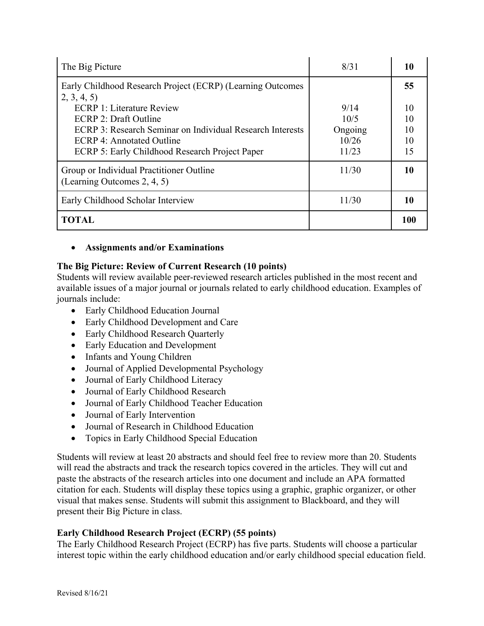| The Big Picture                                                                                                                                                                                                                                                                   | 8/31                                      | 10                               |
|-----------------------------------------------------------------------------------------------------------------------------------------------------------------------------------------------------------------------------------------------------------------------------------|-------------------------------------------|----------------------------------|
| Early Childhood Research Project (ECRP) (Learning Outcomes<br>2, 3, 4, 5<br><b>ECRP 1: Literature Review</b><br>ECRP 2: Draft Outline<br>ECRP 3: Research Seminar on Individual Research Interests<br>ECRP 4: Annotated Outline<br>ECRP 5: Early Childhood Research Project Paper | 9/14<br>10/5<br>Ongoing<br>10/26<br>11/23 | 55<br>10<br>10<br>10<br>10<br>15 |
| Group or Individual Practitioner Outline<br>(Learning Outcomes 2, 4, 5)                                                                                                                                                                                                           | 11/30                                     | 10                               |
| Early Childhood Scholar Interview                                                                                                                                                                                                                                                 | 11/30                                     | 10                               |
| <b>TOTAL</b>                                                                                                                                                                                                                                                                      |                                           | 100                              |

# • **Assignments and/or Examinations**

# **The Big Picture: Review of Current Research (10 points)**

Students will review available peer-reviewed research articles published in the most recent and available issues of a major journal or journals related to early childhood education. Examples of journals include:

- Early Childhood Education Journal
- Early Childhood Development and Care
- Early Childhood Research Quarterly
- Early Education and Development
- Infants and Young Children
- Journal of Applied Developmental Psychology
- Journal of Early Childhood Literacy
- Journal of Early Childhood Research
- Journal of Early Childhood Teacher Education
- Journal of Early Intervention
- Journal of Research in Childhood Education
- Topics in Early Childhood Special Education

Students will review at least 20 abstracts and should feel free to review more than 20. Students will read the abstracts and track the research topics covered in the articles. They will cut and paste the abstracts of the research articles into one document and include an APA formatted citation for each. Students will display these topics using a graphic, graphic organizer, or other visual that makes sense. Students will submit this assignment to Blackboard, and they will present their Big Picture in class.

# **Early Childhood Research Project (ECRP) (55 points)**

The Early Childhood Research Project (ECRP) has five parts. Students will choose a particular interest topic within the early childhood education and/or early childhood special education field.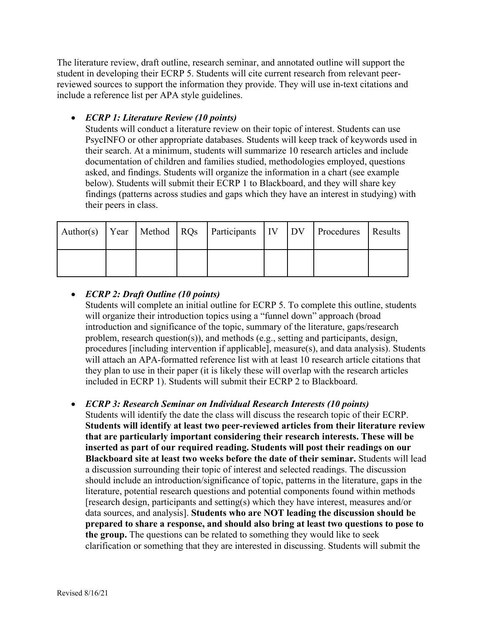The literature review, draft outline, research seminar, and annotated outline will support the student in developing their ECRP 5. Students will cite current research from relevant peerreviewed sources to support the information they provide. They will use in-text citations and include a reference list per APA style guidelines.

# • *ECRP 1: Literature Review (10 points)*

Students will conduct a literature review on their topic of interest. Students can use PsycINFO or other appropriate databases. Students will keep track of keywords used in their search. At a minimum, students will summarize 10 research articles and include documentation of children and families studied, methodologies employed, questions asked, and findings. Students will organize the information in a chart (see example below). Students will submit their ECRP 1 to Blackboard, and they will share key findings (patterns across studies and gaps which they have an interest in studying) with their peers in class.

|  |  | Author(s) Year   Method   RQs   Participants   IV   DV   Procedures   Results |  |  |
|--|--|-------------------------------------------------------------------------------|--|--|
|  |  |                                                                               |  |  |

# • *ECRP 2: Draft Outline (10 points)*

Students will complete an initial outline for ECRP 5. To complete this outline, students will organize their introduction topics using a "funnel down" approach (broad introduction and significance of the topic, summary of the literature, gaps/research problem, research question(s)), and methods (e.g., setting and participants, design, procedures [including intervention if applicable], measure(s), and data analysis). Students will attach an APA-formatted reference list with at least 10 research article citations that they plan to use in their paper (it is likely these will overlap with the research articles included in ECRP 1). Students will submit their ECRP 2 to Blackboard.

# • *ECRP 3: Research Seminar on Individual Research Interests (10 points)*

Students will identify the date the class will discuss the research topic of their ECRP. **Students will identify at least two peer-reviewed articles from their literature review that are particularly important considering their research interests. These will be inserted as part of our required reading. Students will post their readings on our Blackboard site at least two weeks before the date of their seminar.** Students will lead a discussion surrounding their topic of interest and selected readings. The discussion should include an introduction/significance of topic, patterns in the literature, gaps in the literature, potential research questions and potential components found within methods [research design, participants and setting(s) which they have interest, measures and/or data sources, and analysis]. **Students who are NOT leading the discussion should be prepared to share a response, and should also bring at least two questions to pose to the group.** The questions can be related to something they would like to seek clarification or something that they are interested in discussing. Students will submit the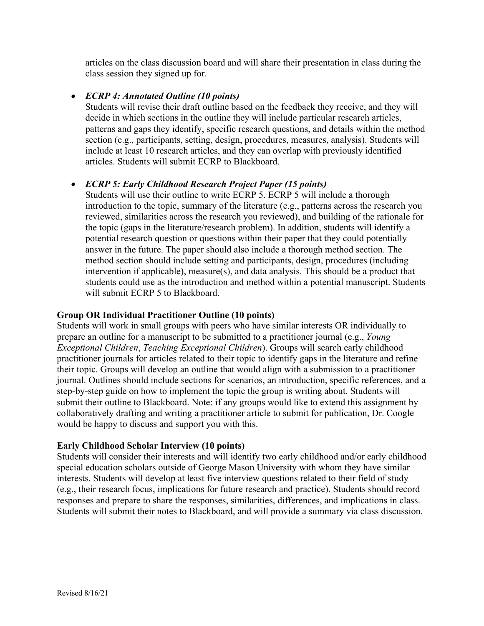articles on the class discussion board and will share their presentation in class during the class session they signed up for.

# • *ECRP 4: Annotated Outline (10 points)*

Students will revise their draft outline based on the feedback they receive, and they will decide in which sections in the outline they will include particular research articles, patterns and gaps they identify, specific research questions, and details within the method section (e.g., participants, setting, design, procedures, measures, analysis). Students will include at least 10 research articles, and they can overlap with previously identified articles. Students will submit ECRP to Blackboard.

# • *ECRP 5: Early Childhood Research Project Paper (15 points)*

Students will use their outline to write ECRP 5. ECRP 5 will include a thorough introduction to the topic, summary of the literature (e.g., patterns across the research you reviewed, similarities across the research you reviewed), and building of the rationale for the topic (gaps in the literature/research problem). In addition, students will identify a potential research question or questions within their paper that they could potentially answer in the future. The paper should also include a thorough method section. The method section should include setting and participants, design, procedures (including intervention if applicable), measure(s), and data analysis. This should be a product that students could use as the introduction and method within a potential manuscript. Students will submit ECRP 5 to Blackboard.

### **Group OR Individual Practitioner Outline (10 points)**

Students will work in small groups with peers who have similar interests OR individually to prepare an outline for a manuscript to be submitted to a practitioner journal (e.g., *Young Exceptional Children*, *Teaching Exceptional Children*). Groups will search early childhood practitioner journals for articles related to their topic to identify gaps in the literature and refine their topic. Groups will develop an outline that would align with a submission to a practitioner journal. Outlines should include sections for scenarios, an introduction, specific references, and a step-by-step guide on how to implement the topic the group is writing about. Students will submit their outline to Blackboard. Note: if any groups would like to extend this assignment by collaboratively drafting and writing a practitioner article to submit for publication, Dr. Coogle would be happy to discuss and support you with this.

# **Early Childhood Scholar Interview (10 points)**

Students will consider their interests and will identify two early childhood and/or early childhood special education scholars outside of George Mason University with whom they have similar interests. Students will develop at least five interview questions related to their field of study (e.g., their research focus, implications for future research and practice). Students should record responses and prepare to share the responses, similarities, differences, and implications in class. Students will submit their notes to Blackboard, and will provide a summary via class discussion.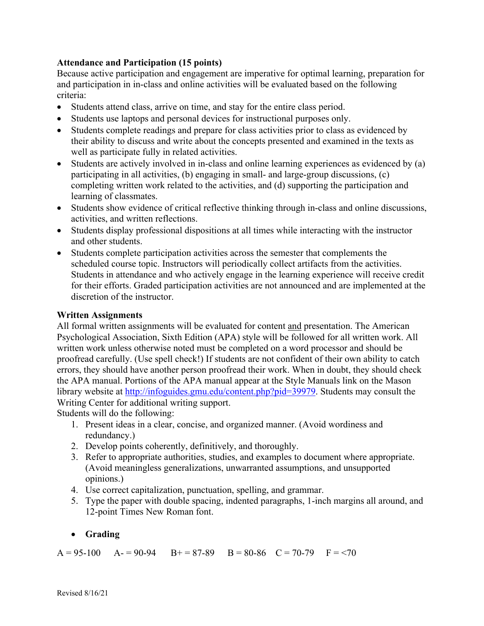### **Attendance and Participation (15 points)**

Because active participation and engagement are imperative for optimal learning, preparation for and participation in in-class and online activities will be evaluated based on the following criteria:

- Students attend class, arrive on time, and stay for the entire class period.
- Students use laptops and personal devices for instructional purposes only.
- Students complete readings and prepare for class activities prior to class as evidenced by their ability to discuss and write about the concepts presented and examined in the texts as well as participate fully in related activities.
- Students are actively involved in in-class and online learning experiences as evidenced by (a) participating in all activities, (b) engaging in small- and large-group discussions, (c) completing written work related to the activities, and (d) supporting the participation and learning of classmates.
- Students show evidence of critical reflective thinking through in-class and online discussions, activities, and written reflections.
- Students display professional dispositions at all times while interacting with the instructor and other students.
- Students complete participation activities across the semester that complements the scheduled course topic. Instructors will periodically collect artifacts from the activities. Students in attendance and who actively engage in the learning experience will receive credit for their efforts. Graded participation activities are not announced and are implemented at the discretion of the instructor.

#### **Written Assignments**

All formal written assignments will be evaluated for content and presentation. The American Psychological Association, Sixth Edition (APA) style will be followed for all written work. All written work unless otherwise noted must be completed on a word processor and should be proofread carefully. (Use spell check!) If students are not confident of their own ability to catch errors, they should have another person proofread their work. When in doubt, they should check the APA manual. Portions of the APA manual appear at the Style Manuals link on the Mason library website at http://infoguides.gmu.edu/content.php?pid=39979. Students may consult the Writing Center for additional writing support.

Students will do the following:

- 1. Present ideas in a clear, concise, and organized manner. (Avoid wordiness and redundancy.)
- 2. Develop points coherently, definitively, and thoroughly.
- 3. Refer to appropriate authorities, studies, and examples to document where appropriate. (Avoid meaningless generalizations, unwarranted assumptions, and unsupported opinions.)
- 4. Use correct capitalization, punctuation, spelling, and grammar.
- 5. Type the paper with double spacing, indented paragraphs, 1-inch margins all around, and 12-point Times New Roman font.

# • **Grading**

 $A = 95-100$   $A = 90-94$   $B = 87-89$   $B = 80-86$   $C = 70-79$   $F = 70$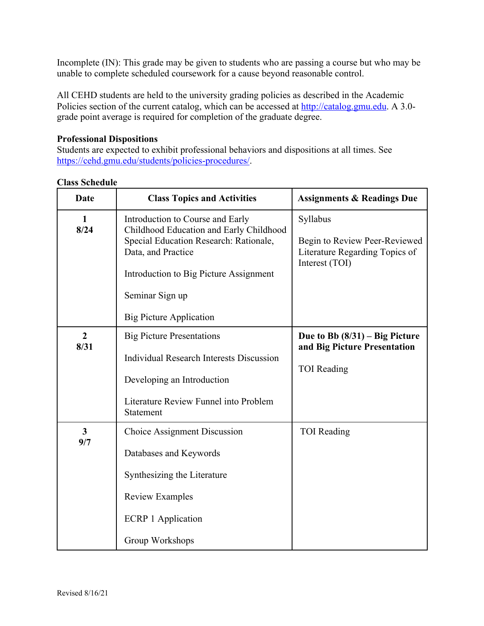Incomplete (IN): This grade may be given to students who are passing a course but who may be unable to complete scheduled coursework for a cause beyond reasonable control.

All CEHD students are held to the university grading policies as described in the Academic Policies section of the current catalog, which can be accessed at http://catalog.gmu.edu. A 3.0grade point average is required for completion of the graduate degree.

### **Professional Dispositions**

Students are expected to exhibit professional behaviors and dispositions at all times. See https://cehd.gmu.edu/students/policies-procedures/.

| Date                   | <b>Class Topics and Activities</b>                                                                                                                                                                                                         | <b>Assignments &amp; Readings Due</b>                                                         |
|------------------------|--------------------------------------------------------------------------------------------------------------------------------------------------------------------------------------------------------------------------------------------|-----------------------------------------------------------------------------------------------|
| 1<br>8/24              | Introduction to Course and Early<br>Childhood Education and Early Childhood<br>Special Education Research: Rationale,<br>Data, and Practice<br>Introduction to Big Picture Assignment<br>Seminar Sign up<br><b>Big Picture Application</b> | Syllabus<br>Begin to Review Peer-Reviewed<br>Literature Regarding Topics of<br>Interest (TOI) |
| $\overline{2}$<br>8/31 | <b>Big Picture Presentations</b><br><b>Individual Research Interests Discussion</b><br>Developing an Introduction<br>Literature Review Funnel into Problem<br>Statement                                                                    | Due to Bb $(8/31)$ – Big Picture<br>and Big Picture Presentation<br><b>TOI</b> Reading        |
| $\overline{3}$<br>9/7  | <b>Choice Assignment Discussion</b><br>Databases and Keywords<br>Synthesizing the Literature<br><b>Review Examples</b><br><b>ECRP 1 Application</b><br>Group Workshops                                                                     | <b>TOI</b> Reading                                                                            |

#### **Class Schedule**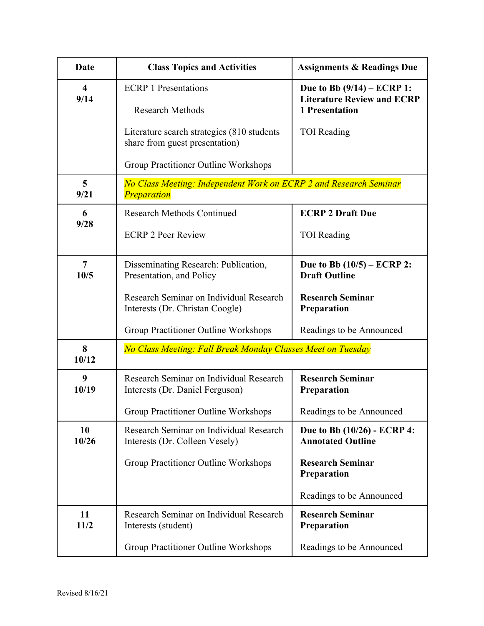| <b>Date</b>                     | <b>Class Topics and Activities</b>                                                      | <b>Assignments &amp; Readings Due</b>                                                      |
|---------------------------------|-----------------------------------------------------------------------------------------|--------------------------------------------------------------------------------------------|
| $\overline{\mathbf{4}}$<br>9/14 | <b>ECRP 1 Presentations</b><br><b>Research Methods</b>                                  | Due to Bb $(9/14)$ – ECRP 1:<br><b>Literature Review and ECRP</b><br><b>1 Presentation</b> |
|                                 | Literature search strategies (810 students<br>share from guest presentation)            | <b>TOI</b> Reading                                                                         |
|                                 | Group Practitioner Outline Workshops                                                    |                                                                                            |
| $\overline{5}$<br>9/21          | No Class Meeting: Independent Work on ECRP 2 and Research Seminar<br><b>Preparation</b> |                                                                                            |
| 6<br>9/28                       | <b>Research Methods Continued</b>                                                       | <b>ECRP 2 Draft Due</b>                                                                    |
|                                 | <b>ECRP 2 Peer Review</b>                                                               | <b>TOI</b> Reading                                                                         |
| $\overline{7}$<br>10/5          | Disseminating Research: Publication,<br>Presentation, and Policy                        | Due to Bb $(10/5)$ – ECRP 2:<br><b>Draft Outline</b>                                       |
|                                 | Research Seminar on Individual Research<br>Interests (Dr. Christan Coogle)              | <b>Research Seminar</b><br>Preparation                                                     |
|                                 | Group Practitioner Outline Workshops                                                    | Readings to be Announced                                                                   |
| 8<br>10/12                      | No Class Meeting: Fall Break Monday Classes Meet on Tuesday                             |                                                                                            |
| 9<br>10/19                      | Research Seminar on Individual Research<br>Interests (Dr. Daniel Ferguson)              | <b>Research Seminar</b><br>Preparation                                                     |
|                                 | Group Practitioner Outline Workshops                                                    | Readings to be Announced                                                                   |
| 10<br>10/26                     | Research Seminar on Individual Research<br>Interests (Dr. Colleen Vesely)               | Due to Bb (10/26) - ECRP 4:<br><b>Annotated Outline</b>                                    |
|                                 | Group Practitioner Outline Workshops                                                    | <b>Research Seminar</b><br><b>Preparation</b>                                              |
|                                 |                                                                                         | Readings to be Announced                                                                   |
| 11<br>11/2                      | Research Seminar on Individual Research<br>Interests (student)                          | <b>Research Seminar</b><br>Preparation                                                     |
|                                 | Group Practitioner Outline Workshops                                                    | Readings to be Announced                                                                   |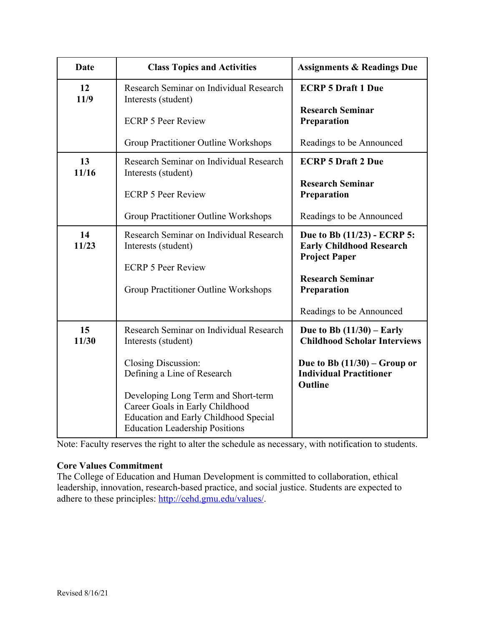| <b>Date</b> | <b>Class Topics and Activities</b>                                                                                                                              | <b>Assignments &amp; Readings Due</b>                                                  |
|-------------|-----------------------------------------------------------------------------------------------------------------------------------------------------------------|----------------------------------------------------------------------------------------|
| 12<br>11/9  | Research Seminar on Individual Research<br>Interests (student)                                                                                                  | <b>ECRP 5 Draft 1 Due</b>                                                              |
|             | <b>ECRP 5 Peer Review</b>                                                                                                                                       | <b>Research Seminar</b><br>Preparation                                                 |
|             | Group Practitioner Outline Workshops                                                                                                                            | Readings to be Announced                                                               |
| 13<br>11/16 | Research Seminar on Individual Research<br>Interests (student)                                                                                                  | <b>ECRP 5 Draft 2 Due</b>                                                              |
|             | <b>ECRP 5 Peer Review</b>                                                                                                                                       | <b>Research Seminar</b><br>Preparation                                                 |
|             | Group Practitioner Outline Workshops                                                                                                                            | Readings to be Announced                                                               |
| 14<br>11/23 | Research Seminar on Individual Research<br>Interests (student)                                                                                                  | Due to Bb (11/23) - ECRP 5:<br><b>Early Childhood Research</b><br><b>Project Paper</b> |
|             | <b>ECRP 5 Peer Review</b>                                                                                                                                       |                                                                                        |
|             | Group Practitioner Outline Workshops                                                                                                                            | <b>Research Seminar</b><br>Preparation                                                 |
|             |                                                                                                                                                                 | Readings to be Announced                                                               |
| 15<br>11/30 | Research Seminar on Individual Research<br>Interests (student)                                                                                                  | Due to Bb $(11/30)$ – Early<br><b>Childhood Scholar Interviews</b>                     |
|             | <b>Closing Discussion:</b><br>Defining a Line of Research                                                                                                       | Due to Bb $(11/30)$ – Group or<br><b>Individual Practitioner</b><br><b>Outline</b>     |
|             | Developing Long Term and Short-term<br>Career Goals in Early Childhood<br><b>Education and Early Childhood Special</b><br><b>Education Leadership Positions</b> |                                                                                        |

Note: Faculty reserves the right to alter the schedule as necessary, with notification to students.

### **Core Values Commitment**

The College of Education and Human Development is committed to collaboration, ethical leadership, innovation, research-based practice, and social justice. Students are expected to adhere to these principles: http://cehd.gmu.edu/values/.